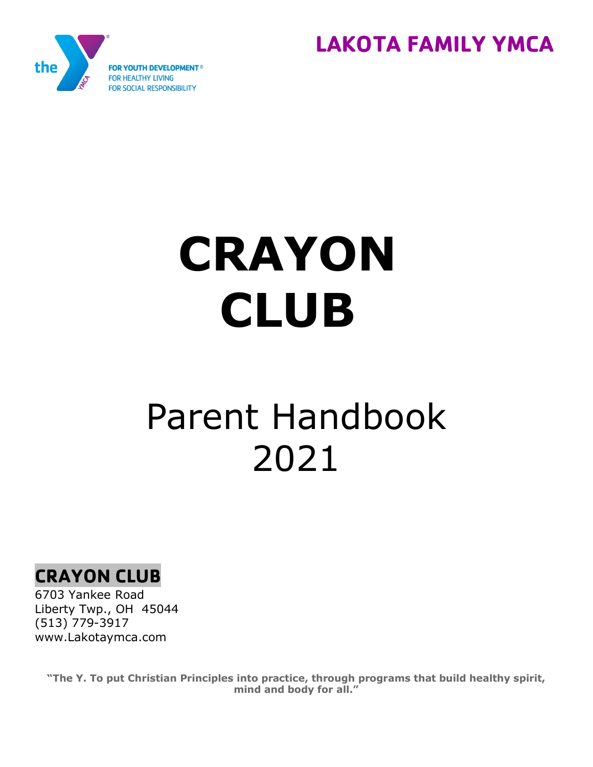



# **CRAYON CLUB**

## Parent Handbook 2021



6703 Yankee Road Liberty Twp., OH 45044 (513) 779-3917 www.Lakotaymca.com

**"The Y. To put Christian Principles into practice, through programs that build healthy spirit, mind and body for all."**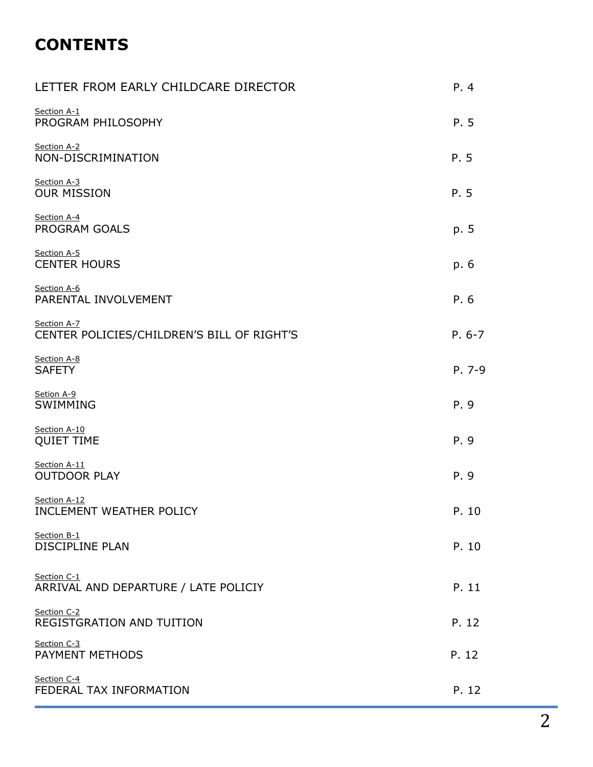## **CONTENTS**

| LETTER FROM EARLY CHILDCARE DIRECTOR                      | P. 4     |
|-----------------------------------------------------------|----------|
| Section A-1<br>PROGRAM PHILOSOPHY                         | P. 5     |
| Section A-2<br>NON-DISCRIMINATION                         | P. 5     |
| Section A-3<br><b>OUR MISSION</b>                         | P. 5     |
| Section A-4<br>PROGRAM GOALS                              | p. 5     |
| Section A-5<br><b>CENTER HOURS</b>                        | p. 6     |
| Section A-6<br>PARENTAL INVOLVEMENT                       | P. 6     |
| Section A-7<br>CENTER POLICIES/CHILDREN'S BILL OF RIGHT'S | $P. 6-7$ |
| Section A-8<br><b>SAFETY</b>                              | P. 7-9   |
| Setion A-9<br>SWIMMING                                    | P. 9     |
| Section A-10<br><b>QUIET TIME</b>                         | P. 9     |
| Section A-11<br><b>OUTDOOR PLAY</b>                       | P. 9     |
| Section A-12<br>INCLEMENT WEATHER POLICY                  | P. 10    |
| Section B-1<br><b>DISCIPLINE PLAN</b>                     | P. 10    |
| Section C-1<br>ARRIVAL AND DEPARTURE / LATE POLICIY       | P. 11    |
| Section C-2<br>REGISTGRATION AND TUITION                  | P. 12    |
| Section C-3<br>PAYMENT METHODS                            | P. 12    |
| Section C-4<br>FEDERAL TAX INFORMATION                    | P. 12    |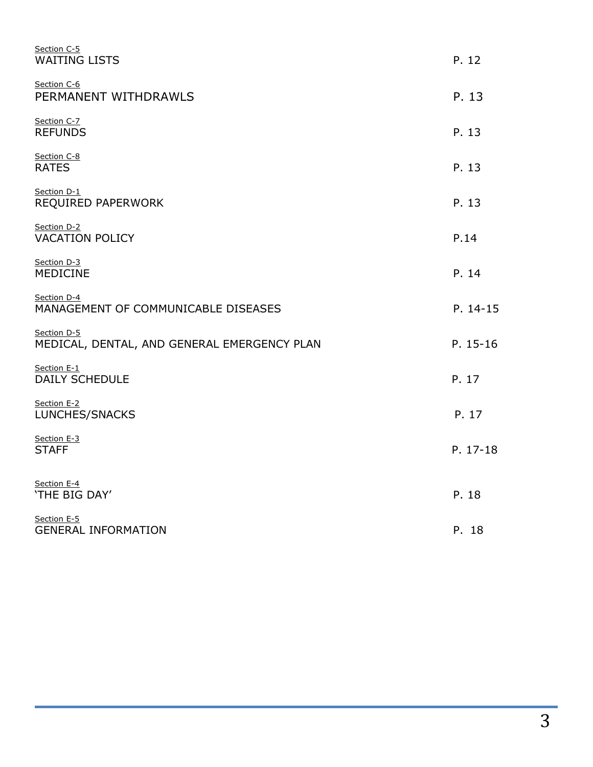| Section C-5<br><b>WAITING LISTS</b>                        | P. 12    |
|------------------------------------------------------------|----------|
| Section C-6<br>PERMANENT WITHDRAWLS                        | P. 13    |
| Section C-7<br><b>REFUNDS</b>                              | P. 13    |
| Section C-8<br><b>RATES</b>                                | P. 13    |
| Section D-1<br>REQUIRED PAPERWORK                          | P. 13    |
| Section D-2<br><b>VACATION POLICY</b>                      | P.14     |
| Section D-3<br><b>MEDICINE</b>                             | P. 14    |
| Section D-4<br>MANAGEMENT OF COMMUNICABLE DISEASES         | P. 14-15 |
| Section D-5<br>MEDICAL, DENTAL, AND GENERAL EMERGENCY PLAN | P. 15-16 |
| Section E-1<br><b>DAILY SCHEDULE</b>                       | P. 17    |
| Section E-2<br>LUNCHES/SNACKS                              | P. 17    |
| Section E-3<br><b>STAFF</b>                                | P. 17-18 |
| Section E-4<br>'THE BIG DAY'                               | P. 18    |
| Section E-5<br><b>GENERAL INFORMATION</b>                  | P. 18    |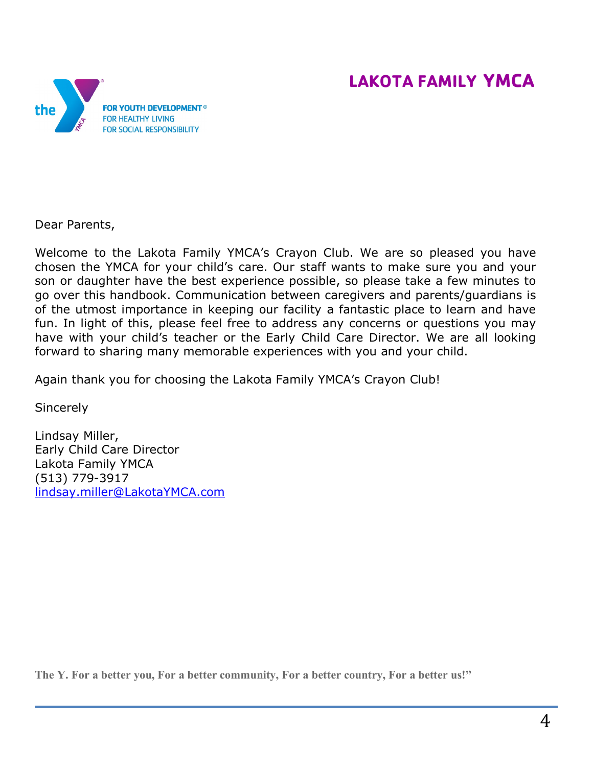## **LAKOTA FAMILY YMCA**



Dear Parents,

Welcome to the Lakota Family YMCA's Crayon Club. We are so pleased you have chosen the YMCA for your child's care. Our staff wants to make sure you and your son or daughter have the best experience possible, so please take a few minutes to go over this handbook. Communication between caregivers and parents/guardians is of the utmost importance in keeping our facility a fantastic place to learn and have fun. In light of this, please feel free to address any concerns or questions you may have with your child's teacher or the Early Child Care Director. We are all looking forward to sharing many memorable experiences with you and your child.

Again thank you for choosing the Lakota Family YMCA's Crayon Club!

**Sincerely** 

Lindsay Miller, Early Child Care Director Lakota Family YMCA (513) 779-3917 [lindsay.miller@LakotaYMCA.com](mailto:lindsay.miller@LakotaYMCA.com)

**The Y. For a better you, For a better community, For a better country, For a better us!"**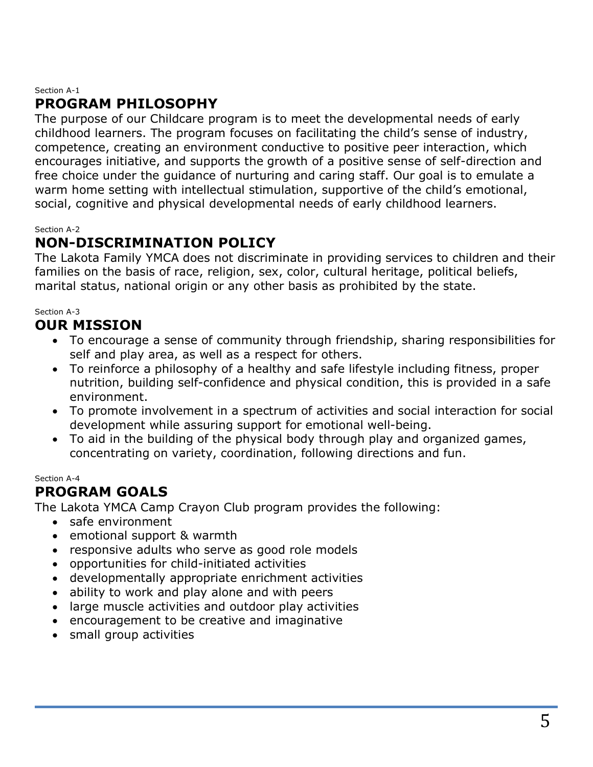#### Section A-1

## **PROGRAM PHILOSOPHY**

The purpose of our Childcare program is to meet the developmental needs of early childhood learners. The program focuses on facilitating the child's sense of industry, competence, creating an environment conductive to positive peer interaction, which encourages initiative, and supports the growth of a positive sense of self-direction and free choice under the guidance of nurturing and caring staff. Our goal is to emulate a warm home setting with intellectual stimulation, supportive of the child's emotional, social, cognitive and physical developmental needs of early childhood learners.

#### Section A-2

## **NON-DISCRIMINATION POLICY**

The Lakota Family YMCA does not discriminate in providing services to children and their families on the basis of race, religion, sex, color, cultural heritage, political beliefs, marital status, national origin or any other basis as prohibited by the state.

#### Section A-3

## **OUR MISSION**

- To encourage a sense of community through friendship, sharing responsibilities for self and play area, as well as a respect for others.
- To reinforce a philosophy of a healthy and safe lifestyle including fitness, proper nutrition, building self-confidence and physical condition, this is provided in a safe environment.
- To promote involvement in a spectrum of activities and social interaction for social development while assuring support for emotional well-being.
- To aid in the building of the physical body through play and organized games, concentrating on variety, coordination, following directions and fun.

#### Section A-4

## **PROGRAM GOALS**

The Lakota YMCA Camp Crayon Club program provides the following:

- safe environment
- emotional support & warmth
- responsive adults who serve as good role models
- opportunities for child-initiated activities
- developmentally appropriate enrichment activities
- ability to work and play alone and with peers
- large muscle activities and outdoor play activities
- encouragement to be creative and imaginative
- small group activities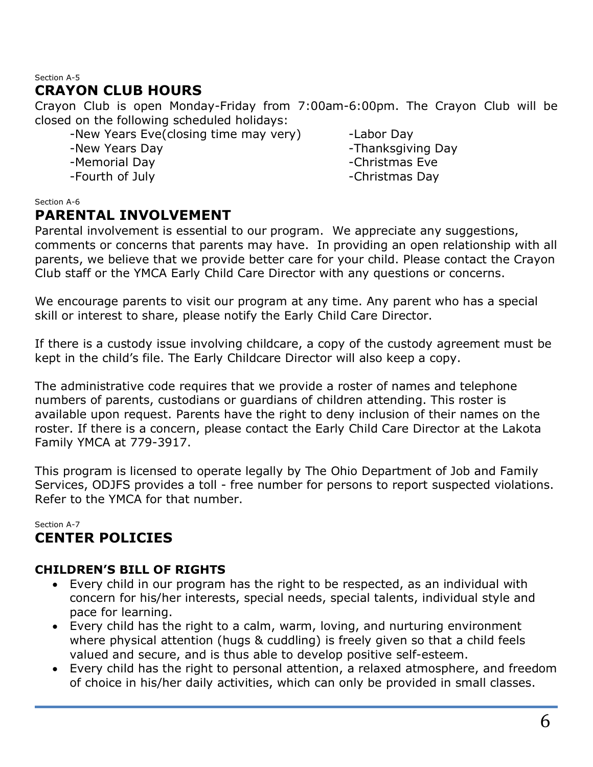#### Section A-5

## **CRAYON CLUB HOURS**

Crayon Club is open Monday-Friday from 7:00am-6:00pm. The Crayon Club will be closed on the following scheduled holidays:

- -New Years Eve(closing time may very) Labor Day
- 
- -Memorial Day **-Christmas Eve**
- 

-New Years Day **-New Years** Day

-Fourth of July **Example 20** and the set of the Second Second 20 and 20 and 20 and 20 and 20 and 20 and 20 and 20 and 20 and 20 and 20 and 20 and 20 and 20 and 20 and 20 and 20 and 20 and 20 and 20 and 20 and 20 and 20 and

#### Section A-6

## **PARENTAL INVOLVEMENT**

Parental involvement is essential to our program. We appreciate any suggestions, comments or concerns that parents may have. In providing an open relationship with all parents, we believe that we provide better care for your child. Please contact the Crayon Club staff or the YMCA Early Child Care Director with any questions or concerns.

We encourage parents to visit our program at any time. Any parent who has a special skill or interest to share, please notify the Early Child Care Director.

If there is a custody issue involving childcare, a copy of the custody agreement must be kept in the child's file. The Early Childcare Director will also keep a copy.

The administrative code requires that we provide a roster of names and telephone numbers of parents, custodians or guardians of children attending. This roster is available upon request. Parents have the right to deny inclusion of their names on the roster. If there is a concern, please contact the Early Child Care Director at the Lakota Family YMCA at 779-3917.

This program is licensed to operate legally by The Ohio Department of Job and Family Services, ODJFS provides a toll - free number for persons to report suspected violations. Refer to the YMCA for that number.

#### Section A-7 **CENTER POLICIES**

#### **CHILDREN'S BILL OF RIGHTS**

- Every child in our program has the right to be respected, as an individual with concern for his/her interests, special needs, special talents, individual style and pace for learning.
- Every child has the right to a calm, warm, loving, and nurturing environment where physical attention (hugs & cuddling) is freely given so that a child feels valued and secure, and is thus able to develop positive self-esteem.
- Every child has the right to personal attention, a relaxed atmosphere, and freedom of choice in his/her daily activities, which can only be provided in small classes.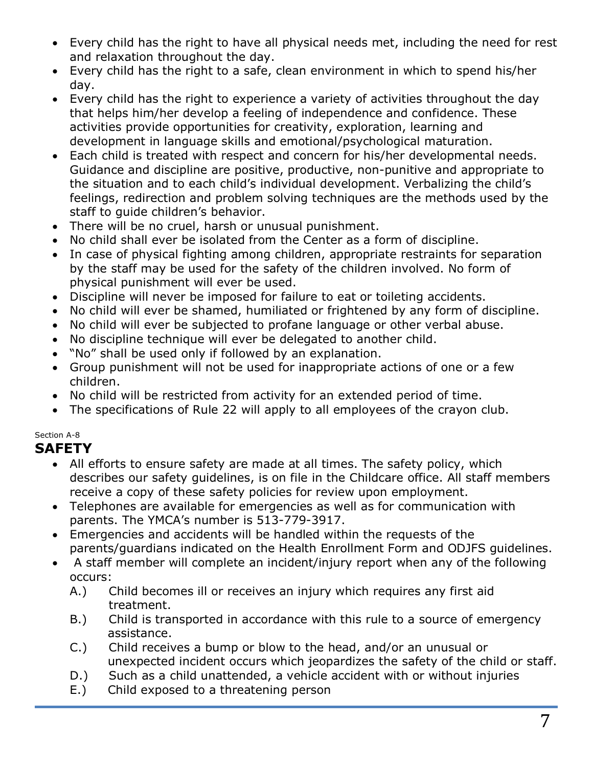- Every child has the right to have all physical needs met, including the need for rest and relaxation throughout the day.
- Every child has the right to a safe, clean environment in which to spend his/her day.
- Every child has the right to experience a variety of activities throughout the day that helps him/her develop a feeling of independence and confidence. These activities provide opportunities for creativity, exploration, learning and development in language skills and emotional/psychological maturation.
- Each child is treated with respect and concern for his/her developmental needs. Guidance and discipline are positive, productive, non-punitive and appropriate to the situation and to each child's individual development. Verbalizing the child's feelings, redirection and problem solving techniques are the methods used by the staff to guide children's behavior.
- There will be no cruel, harsh or unusual punishment.
- No child shall ever be isolated from the Center as a form of discipline.
- In case of physical fighting among children, appropriate restraints for separation by the staff may be used for the safety of the children involved. No form of physical punishment will ever be used.
- Discipline will never be imposed for failure to eat or toileting accidents.
- No child will ever be shamed, humiliated or frightened by any form of discipline.
- No child will ever be subjected to profane language or other verbal abuse.
- No discipline technique will ever be delegated to another child.
- "No" shall be used only if followed by an explanation.
- Group punishment will not be used for inappropriate actions of one or a few children.
- No child will be restricted from activity for an extended period of time.
- The specifications of Rule 22 will apply to all employees of the crayon club.

#### Section A-8

## **SAFETY**

- All efforts to ensure safety are made at all times. The safety policy, which describes our safety guidelines, is on file in the Childcare office. All staff members receive a copy of these safety policies for review upon employment.
- Telephones are available for emergencies as well as for communication with parents. The YMCA's number is 513-779-3917.
- Emergencies and accidents will be handled within the requests of the parents/guardians indicated on the Health Enrollment Form and ODJFS guidelines.
- A staff member will complete an incident/injury report when any of the following occurs:
	- A.) Child becomes ill or receives an injury which requires any first aid treatment.
	- B.) Child is transported in accordance with this rule to a source of emergency assistance.
	- C.) Child receives a bump or blow to the head, and/or an unusual or unexpected incident occurs which jeopardizes the safety of the child or staff.
	- D.) Such as a child unattended, a vehicle accident with or without injuries E.) Child exposed to a threatening person
	- Child exposed to a threatening person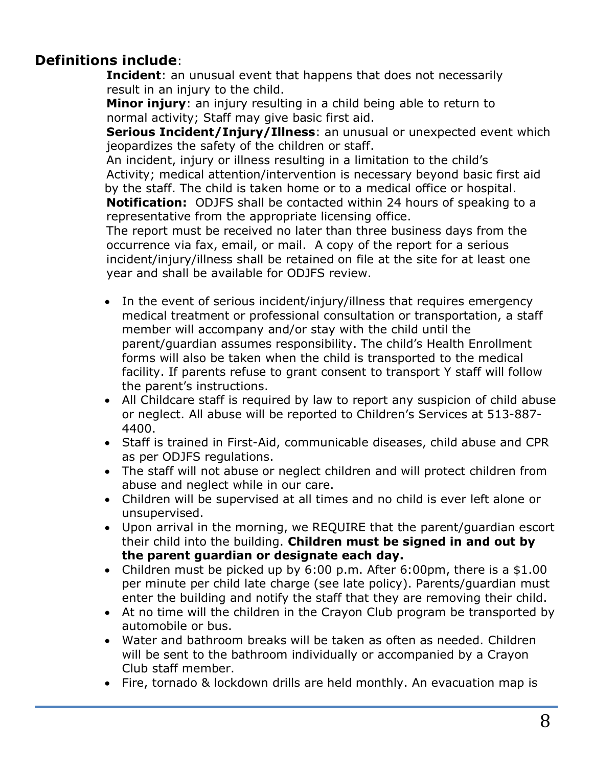## **Definitions include**:

**Incident**: an unusual event that happens that does not necessarily result in an injury to the child.

**Minor injury**: an injury resulting in a child being able to return to normal activity; Staff may give basic first aid.

**Serious Incident/Injury/Illness**: an unusual or unexpected event which jeopardizes the safety of the children or staff.

An incident, injury or illness resulting in a limitation to the child's Activity; medical attention/intervention is necessary beyond basic first aid by the staff. The child is taken home or to a medical office or hospital. **Notification:** ODJFS shall be contacted within 24 hours of speaking to a representative from the appropriate licensing office.

The report must be received no later than three business days from the occurrence via fax, email, or mail. A copy of the report for a serious incident/injury/illness shall be retained on file at the site for at least one year and shall be available for ODJFS review.

- In the event of serious incident/injury/illness that requires emergency medical treatment or professional consultation or transportation, a staff member will accompany and/or stay with the child until the parent/guardian assumes responsibility. The child's Health Enrollment forms will also be taken when the child is transported to the medical facility. If parents refuse to grant consent to transport Y staff will follow the parent's instructions.
- All Childcare staff is required by law to report any suspicion of child abuse or neglect. All abuse will be reported to Children's Services at 513-887- 4400.
- Staff is trained in First-Aid, communicable diseases, child abuse and CPR as per ODJFS regulations.
- The staff will not abuse or neglect children and will protect children from abuse and neglect while in our care.
- Children will be supervised at all times and no child is ever left alone or unsupervised.
- Upon arrival in the morning, we REQUIRE that the parent/guardian escort their child into the building. **Children must be signed in and out by the parent guardian or designate each day.**
- Children must be picked up by 6:00 p.m. After 6:00pm, there is a \$1.00 per minute per child late charge (see late policy). Parents/guardian must enter the building and notify the staff that they are removing their child.
- At no time will the children in the Crayon Club program be transported by automobile or bus.
- Water and bathroom breaks will be taken as often as needed. Children will be sent to the bathroom individually or accompanied by a Crayon Club staff member.
- Fire, tornado & lockdown drills are held monthly. An evacuation map is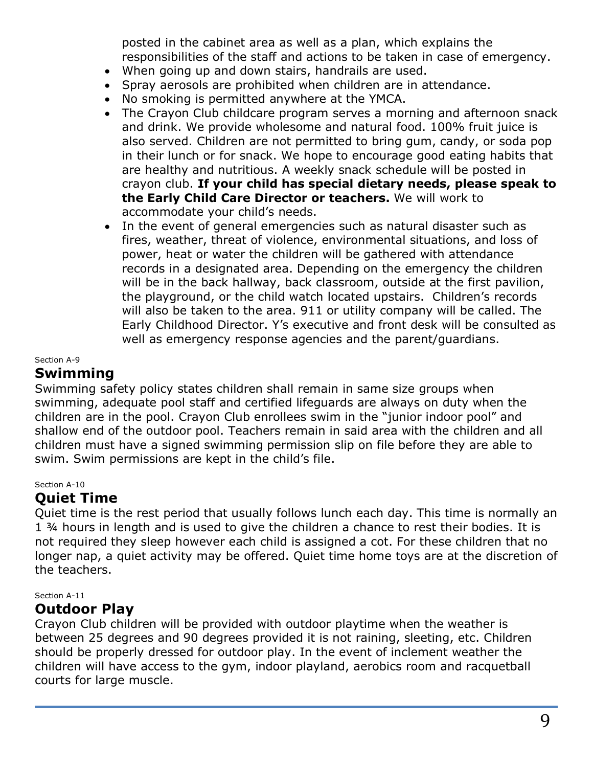posted in the cabinet area as well as a plan, which explains the responsibilities of the staff and actions to be taken in case of emergency.

- When going up and down stairs, handrails are used.
- Spray aerosols are prohibited when children are in attendance.
- No smoking is permitted anywhere at the YMCA.
- The Crayon Club childcare program serves a morning and afternoon snack and drink. We provide wholesome and natural food. 100% fruit juice is also served. Children are not permitted to bring gum, candy, or soda pop in their lunch or for snack. We hope to encourage good eating habits that are healthy and nutritious. A weekly snack schedule will be posted in crayon club. **If your child has special dietary needs, please speak to the Early Child Care Director or teachers.** We will work to accommodate your child's needs.
- In the event of general emergencies such as natural disaster such as fires, weather, threat of violence, environmental situations, and loss of power, heat or water the children will be gathered with attendance records in a designated area. Depending on the emergency the children will be in the back hallway, back classroom, outside at the first pavilion, the playground, or the child watch located upstairs. Children's records will also be taken to the area. 911 or utility company will be called. The Early Childhood Director. Y's executive and front desk will be consulted as well as emergency response agencies and the parent/guardians.

#### Section A-9

## **Swimming**

Swimming safety policy states children shall remain in same size groups when swimming, adequate pool staff and certified lifeguards are always on duty when the children are in the pool. Crayon Club enrollees swim in the "junior indoor pool" and shallow end of the outdoor pool. Teachers remain in said area with the children and all children must have a signed swimming permission slip on file before they are able to swim. Swim permissions are kept in the child's file.

#### Section A-10

#### **Quiet Time**

Quiet time is the rest period that usually follows lunch each day. This time is normally an 1 ¾ hours in length and is used to give the children a chance to rest their bodies. It is not required they sleep however each child is assigned a cot. For these children that no longer nap, a quiet activity may be offered. Quiet time home toys are at the discretion of the teachers.

#### Section A-11

#### **Outdoor Play**

Crayon Club children will be provided with outdoor playtime when the weather is between 25 degrees and 90 degrees provided it is not raining, sleeting, etc. Children should be properly dressed for outdoor play. In the event of inclement weather the children will have access to the gym, indoor playland, aerobics room and racquetball courts for large muscle.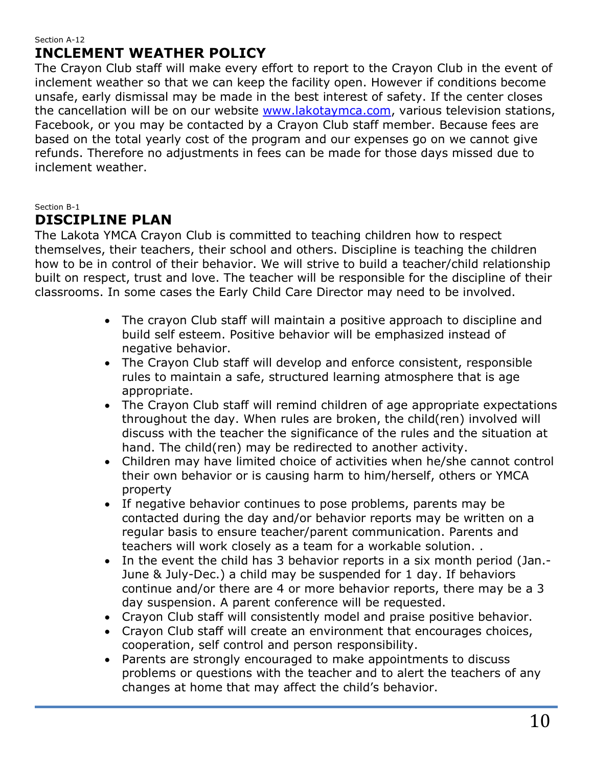#### Section A-12 **INCLEMENT WEATHER POLICY**

The Crayon Club staff will make every effort to report to the Crayon Club in the event of inclement weather so that we can keep the facility open. However if conditions become unsafe, early dismissal may be made in the best interest of safety. If the center closes the cancellation will be on our website [www.lakotaymca.com,](http://www.lakotaymca.com/) various television stations, Facebook, or you may be contacted by a Crayon Club staff member. Because fees are based on the total yearly cost of the program and our expenses go on we cannot give refunds. Therefore no adjustments in fees can be made for those days missed due to inclement weather.

Section B-1

## **DISCIPLINE PLAN**

The Lakota YMCA Crayon Club is committed to teaching children how to respect themselves, their teachers, their school and others. Discipline is teaching the children how to be in control of their behavior. We will strive to build a teacher/child relationship built on respect, trust and love. The teacher will be responsible for the discipline of their classrooms. In some cases the Early Child Care Director may need to be involved.

- The crayon Club staff will maintain a positive approach to discipline and build self esteem. Positive behavior will be emphasized instead of negative behavior.
- The Crayon Club staff will develop and enforce consistent, responsible rules to maintain a safe, structured learning atmosphere that is age appropriate.
- The Crayon Club staff will remind children of age appropriate expectations throughout the day. When rules are broken, the child(ren) involved will discuss with the teacher the significance of the rules and the situation at hand. The child(ren) may be redirected to another activity.
- Children may have limited choice of activities when he/she cannot control their own behavior or is causing harm to him/herself, others or YMCA property
- If negative behavior continues to pose problems, parents may be contacted during the day and/or behavior reports may be written on a regular basis to ensure teacher/parent communication. Parents and teachers will work closely as a team for a workable solution. .
- In the event the child has 3 behavior reports in a six month period (Jan.- June & July-Dec.) a child may be suspended for 1 day. If behaviors continue and/or there are 4 or more behavior reports, there may be a 3 day suspension. A parent conference will be requested.
- Crayon Club staff will consistently model and praise positive behavior.
- Crayon Club staff will create an environment that encourages choices, cooperation, self control and person responsibility.
- Parents are strongly encouraged to make appointments to discuss problems or questions with the teacher and to alert the teachers of any changes at home that may affect the child's behavior.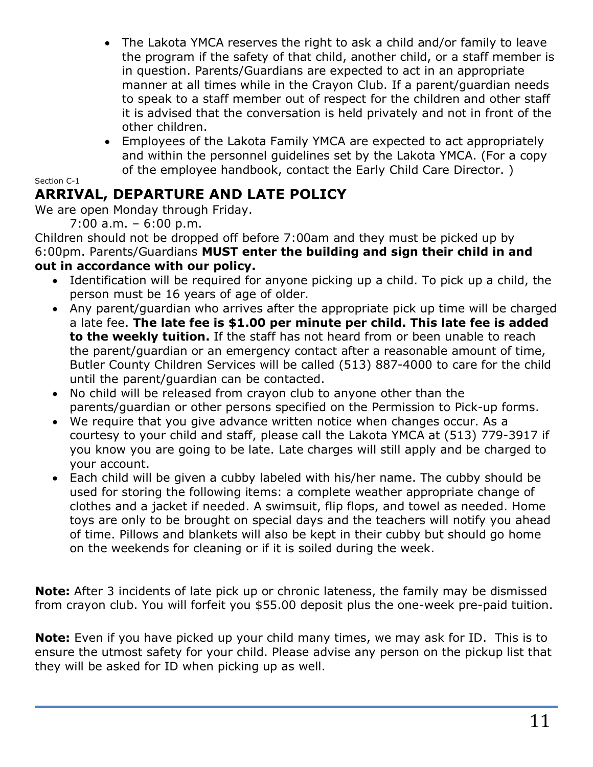- The Lakota YMCA reserves the right to ask a child and/or family to leave the program if the safety of that child, another child, or a staff member is in question. Parents/Guardians are expected to act in an appropriate manner at all times while in the Crayon Club. If a parent/guardian needs to speak to a staff member out of respect for the children and other staff it is advised that the conversation is held privately and not in front of the other children.
- Employees of the Lakota Family YMCA are expected to act appropriately and within the personnel guidelines set by the Lakota YMCA. (For a copy of the employee handbook, contact the Early Child Care Director. )

Section C-1

## **ARRIVAL, DEPARTURE AND LATE POLICY**

We are open Monday through Friday.

7:00 a.m. – 6:00 p.m.

Children should not be dropped off before 7:00am and they must be picked up by 6:00pm. Parents/Guardians **MUST enter the building and sign their child in and out in accordance with our policy.**

- Identification will be required for anyone picking up a child. To pick up a child, the person must be 16 years of age of older.
- Any parent/guardian who arrives after the appropriate pick up time will be charged a late fee. **The late fee is \$1.00 per minute per child. This late fee is added to the weekly tuition.** If the staff has not heard from or been unable to reach the parent/guardian or an emergency contact after a reasonable amount of time, Butler County Children Services will be called (513) 887-4000 to care for the child until the parent/guardian can be contacted.
- No child will be released from crayon club to anyone other than the parents/guardian or other persons specified on the Permission to Pick-up forms.
- We require that you give advance written notice when changes occur. As a courtesy to your child and staff, please call the Lakota YMCA at (513) 779-3917 if you know you are going to be late. Late charges will still apply and be charged to your account.
- Each child will be given a cubby labeled with his/her name. The cubby should be used for storing the following items: a complete weather appropriate change of clothes and a jacket if needed. A swimsuit, flip flops, and towel as needed. Home toys are only to be brought on special days and the teachers will notify you ahead of time. Pillows and blankets will also be kept in their cubby but should go home on the weekends for cleaning or if it is soiled during the week.

**Note:** After 3 incidents of late pick up or chronic lateness, the family may be dismissed from crayon club. You will forfeit you \$55.00 deposit plus the one-week pre-paid tuition.

**Note:** Even if you have picked up your child many times, we may ask for ID. This is to ensure the utmost safety for your child. Please advise any person on the pickup list that they will be asked for ID when picking up as well.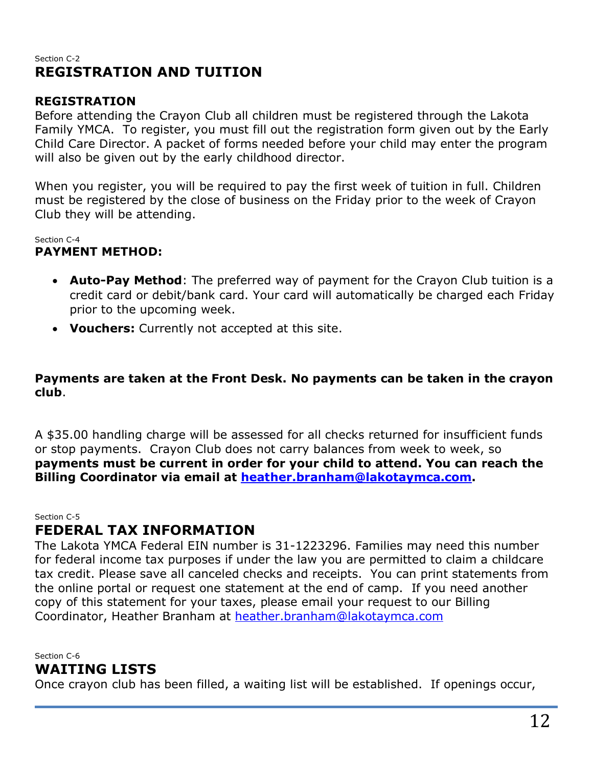#### Section C-2 **REGISTRATION AND TUITION**

#### **REGISTRATION**

Before attending the Crayon Club all children must be registered through the Lakota Family YMCA. To register, you must fill out the registration form given out by the Early Child Care Director. A packet of forms needed before your child may enter the program will also be given out by the early childhood director.

When you register, you will be required to pay the first week of tuition in full. Children must be registered by the close of business on the Friday prior to the week of Crayon Club they will be attending.

Section C-4

#### **PAYMENT METHOD:**

- **Auto-Pay Method**: The preferred way of payment for the Crayon Club tuition is a credit card or debit/bank card. Your card will automatically be charged each Friday prior to the upcoming week.
- **Vouchers:** Currently not accepted at this site.

#### **Payments are taken at the Front Desk. No payments can be taken in the crayon club**.

A \$35.00 handling charge will be assessed for all checks returned for insufficient funds or stop payments. Crayon Club does not carry balances from week to week, so **payments must be current in order for your child to attend. You can reach the Billing Coordinator via email at [heather.branham@lakotaymca.com.](mailto:heather.branham@lakotaymca.com)**

Section C-5

## **FEDERAL TAX INFORMATION**

The Lakota YMCA Federal EIN number is 31-1223296. Families may need this number for federal income tax purposes if under the law you are permitted to claim a childcare tax credit. Please save all canceled checks and receipts. You can print statements from the online portal or request one statement at the end of camp. If you need another copy of this statement for your taxes, please email your request to our Billing Coordinator, Heather Branham at [heather.branham@lakotaymca.com](mailto:heather.branham@lakotaymca.com)

Section C-6

## **WAITING LISTS**

Once crayon club has been filled, a waiting list will be established. If openings occur,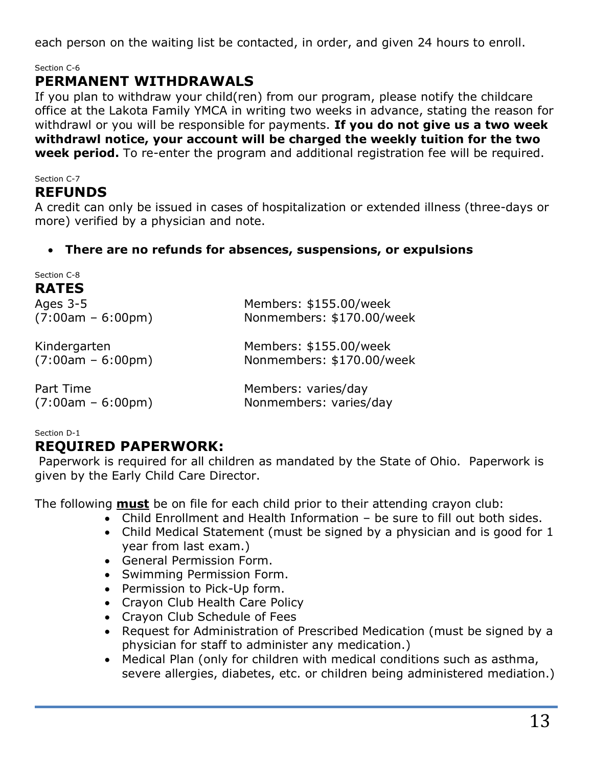each person on the waiting list be contacted, in order, and given 24 hours to enroll.

Section C-6

## **PERMANENT WITHDRAWALS**

If you plan to withdraw your child(ren) from our program, please notify the childcare office at the Lakota Family YMCA in writing two weeks in advance, stating the reason for withdrawl or you will be responsible for payments. **If you do not give us a two week withdrawl notice, your account will be charged the weekly tuition for the two week period.** To re-enter the program and additional registration fee will be required.

#### Section C-7

#### **REFUNDS**

A credit can only be issued in cases of hospitalization or extended illness (three-days or more) verified by a physician and note.

#### • **There are no refunds for absences, suspensions, or expulsions**

| Section C-8         |                           |
|---------------------|---------------------------|
| <b>RATES</b>        |                           |
| Ages $3-5$          | Members: \$155.00/week    |
| $(7:00am - 6:00pm)$ | Nonmembers: \$170.00/week |
| Kindergarten        | Members: \$155.00/week    |
| $(7:00am - 6:00pm)$ | Nonmembers: \$170.00/week |
| Part Time           | Members: varies/day       |
| $(7:00am - 6:00pm)$ | Nonmembers: varies/day    |

Section D-1

## **REQUIRED PAPERWORK:**

Paperwork is required for all children as mandated by the State of Ohio. Paperwork is given by the Early Child Care Director.

The following **must** be on file for each child prior to their attending crayon club:

- Child Enrollment and Health Information be sure to fill out both sides.
- Child Medical Statement (must be signed by a physician and is good for 1 year from last exam.)
- General Permission Form.
- Swimming Permission Form.
- Permission to Pick-Up form.
- Crayon Club Health Care Policy
- Crayon Club Schedule of Fees
- Request for Administration of Prescribed Medication (must be signed by a physician for staff to administer any medication.)
- Medical Plan (only for children with medical conditions such as asthma, severe allergies, diabetes, etc. or children being administered mediation.)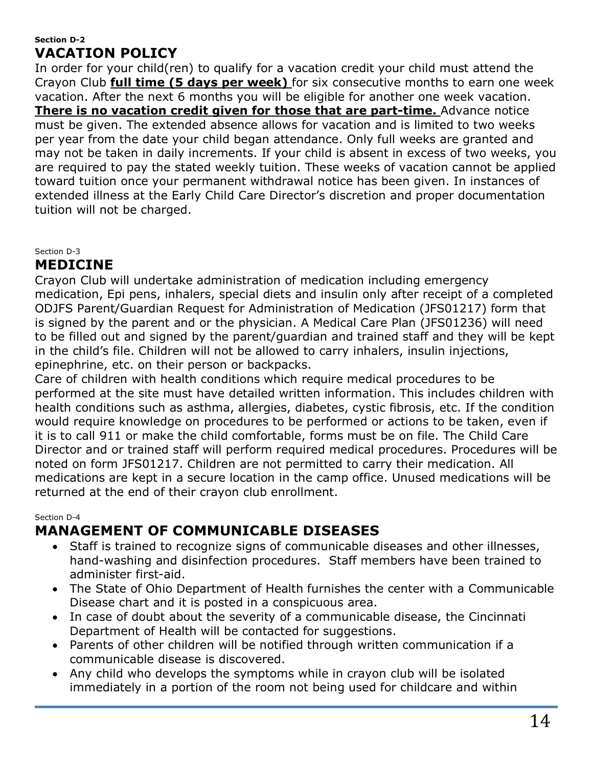#### **Section D-2 VACATION POLICY**

In order for your child(ren) to qualify for a vacation credit your child must attend the Crayon Club **full time (5 days per week)** for six consecutive months to earn one week vacation. After the next 6 months you will be eligible for another one week vacation. **There is no vacation credit given for those that are part-time.** Advance notice must be given. The extended absence allows for vacation and is limited to two weeks per year from the date your child began attendance. Only full weeks are granted and may not be taken in daily increments. If your child is absent in excess of two weeks, you are required to pay the stated weekly tuition. These weeks of vacation cannot be applied toward tuition once your permanent withdrawal notice has been given. In instances of extended illness at the Early Child Care Director's discretion and proper documentation tuition will not be charged.

Section D-3

## **MEDICINE**

Crayon Club will undertake administration of medication including emergency medication, Epi pens, inhalers, special diets and insulin only after receipt of a completed ODJFS Parent/Guardian Request for Administration of Medication (JFS01217) form that is signed by the parent and or the physician. A Medical Care Plan (JFS01236) will need to be filled out and signed by the parent/guardian and trained staff and they will be kept in the child's file. Children will not be allowed to carry inhalers, insulin injections, epinephrine, etc. on their person or backpacks.

Care of children with health conditions which require medical procedures to be performed at the site must have detailed written information. This includes children with health conditions such as asthma, allergies, diabetes, cystic fibrosis, etc. If the condition would require knowledge on procedures to be performed or actions to be taken, even if it is to call 911 or make the child comfortable, forms must be on file. The Child Care Director and or trained staff will perform required medical procedures. Procedures will be noted on form JFS01217. Children are not permitted to carry their medication. All medications are kept in a secure location in the camp office. Unused medications will be returned at the end of their crayon club enrollment.

Section D-4

## **MANAGEMENT OF COMMUNICABLE DISEASES**

- Staff is trained to recognize signs of communicable diseases and other illnesses, hand-washing and disinfection procedures. Staff members have been trained to administer first-aid.
- The State of Ohio Department of Health furnishes the center with a Communicable Disease chart and it is posted in a conspicuous area.
- In case of doubt about the severity of a communicable disease, the Cincinnati Department of Health will be contacted for suggestions.
- Parents of other children will be notified through written communication if a communicable disease is discovered.
- Any child who develops the symptoms while in crayon club will be isolated immediately in a portion of the room not being used for childcare and within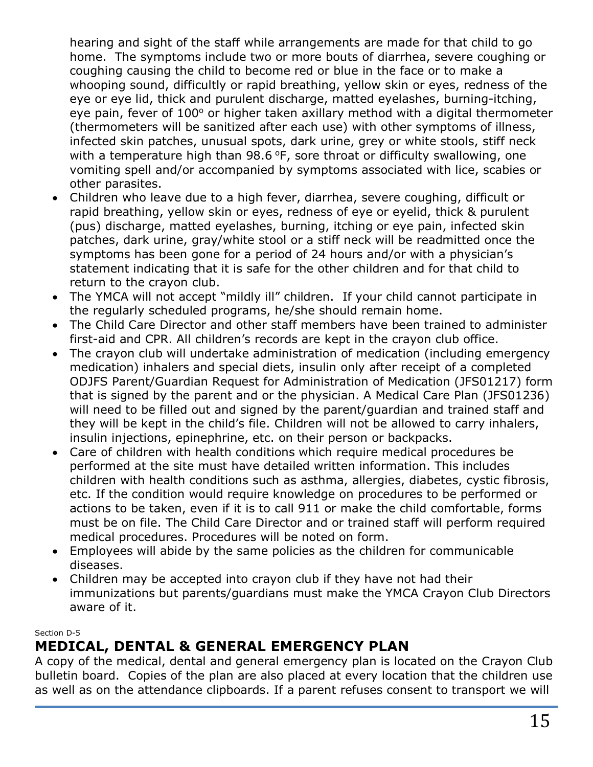hearing and sight of the staff while arrangements are made for that child to go home. The symptoms include two or more bouts of diarrhea, severe coughing or coughing causing the child to become red or blue in the face or to make a whooping sound, difficultly or rapid breathing, yellow skin or eyes, redness of the eye or eye lid, thick and purulent discharge, matted eyelashes, burning-itching, eye pain, fever of 100° or higher taken axillary method with a digital thermometer (thermometers will be sanitized after each use) with other symptoms of illness, infected skin patches, unusual spots, dark urine, grey or white stools, stiff neck with a temperature high than  $98.6$  °F, sore throat or difficulty swallowing, one vomiting spell and/or accompanied by symptoms associated with lice, scabies or other parasites.

- Children who leave due to a high fever, diarrhea, severe coughing, difficult or rapid breathing, yellow skin or eyes, redness of eye or eyelid, thick & purulent (pus) discharge, matted eyelashes, burning, itching or eye pain, infected skin patches, dark urine, gray/white stool or a stiff neck will be readmitted once the symptoms has been gone for a period of 24 hours and/or with a physician's statement indicating that it is safe for the other children and for that child to return to the crayon club.
- The YMCA will not accept "mildly ill" children. If your child cannot participate in the regularly scheduled programs, he/she should remain home.
- The Child Care Director and other staff members have been trained to administer first-aid and CPR. All children's records are kept in the crayon club office.
- The crayon club will undertake administration of medication (including emergency medication) inhalers and special diets, insulin only after receipt of a completed ODJFS Parent/Guardian Request for Administration of Medication (JFS01217) form that is signed by the parent and or the physician. A Medical Care Plan (JFS01236) will need to be filled out and signed by the parent/guardian and trained staff and they will be kept in the child's file. Children will not be allowed to carry inhalers, insulin injections, epinephrine, etc. on their person or backpacks.
- Care of children with health conditions which require medical procedures be performed at the site must have detailed written information. This includes children with health conditions such as asthma, allergies, diabetes, cystic fibrosis, etc. If the condition would require knowledge on procedures to be performed or actions to be taken, even if it is to call 911 or make the child comfortable, forms must be on file. The Child Care Director and or trained staff will perform required medical procedures. Procedures will be noted on form.
- Employees will abide by the same policies as the children for communicable diseases.
- Children may be accepted into crayon club if they have not had their immunizations but parents/guardians must make the YMCA Crayon Club Directors aware of it.

#### Section D-5

## **MEDICAL, DENTAL & GENERAL EMERGENCY PLAN**

A copy of the medical, dental and general emergency plan is located on the Crayon Club bulletin board. Copies of the plan are also placed at every location that the children use as well as on the attendance clipboards. If a parent refuses consent to transport we will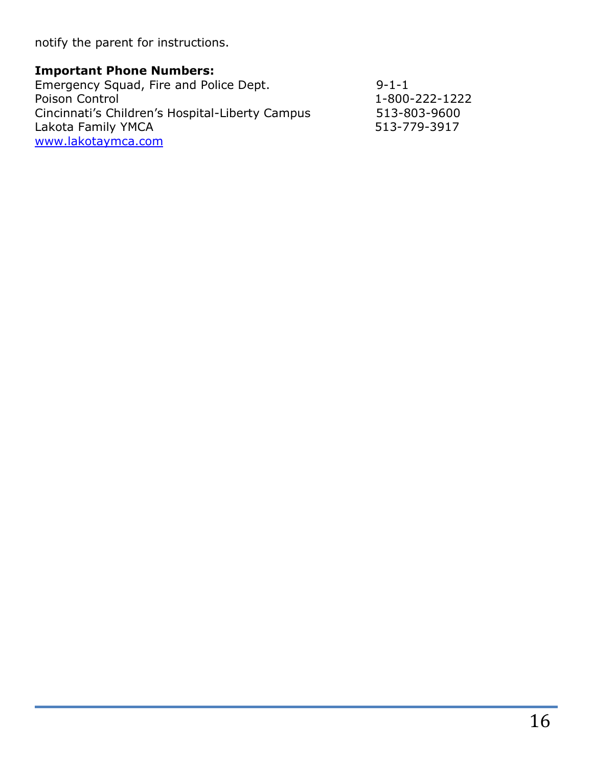notify the parent for instructions.

## **Important Phone Numbers:**

| Emergency Squad, Fire and Police Dept.          | $9 - 1 - 1$    |
|-------------------------------------------------|----------------|
| Poison Control                                  | 1-800-222-1222 |
| Cincinnati's Children's Hospital-Liberty Campus | 513-803-9600   |
| Lakota Family YMCA                              | 513-779-3917   |
| www.lakotaymca.com                              |                |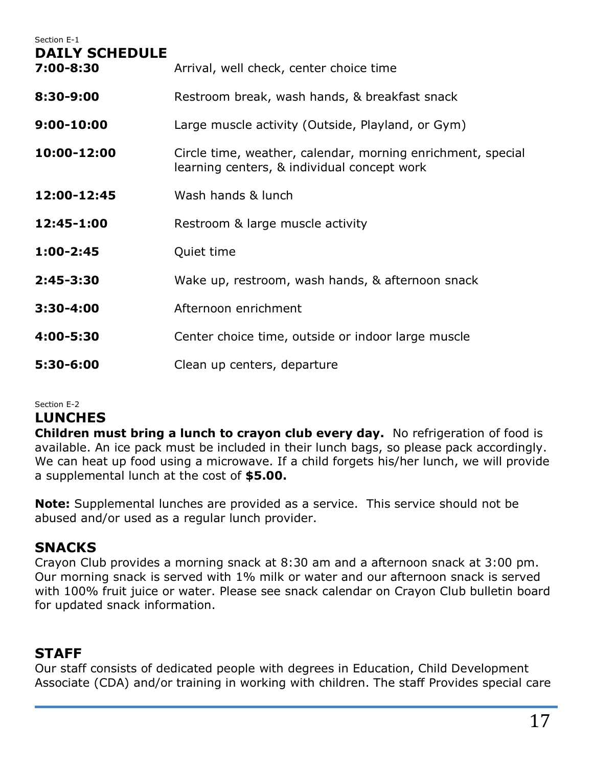| Section E-1<br><b>DAILY SCHEDULE</b> |                                                                                                            |
|--------------------------------------|------------------------------------------------------------------------------------------------------------|
| 7:00-8:30                            | Arrival, well check, center choice time                                                                    |
| 8:30-9:00                            | Restroom break, wash hands, & breakfast snack                                                              |
| $9:00 - 10:00$                       | Large muscle activity (Outside, Playland, or Gym)                                                          |
| 10:00-12:00                          | Circle time, weather, calendar, morning enrichment, special<br>learning centers, & individual concept work |
| 12:00-12:45                          | Wash hands & lunch                                                                                         |
| 12:45-1:00                           | Restroom & large muscle activity                                                                           |
| $1:00-2:45$                          | Quiet time                                                                                                 |
| $2:45 - 3:30$                        | Wake up, restroom, wash hands, & afternoon snack                                                           |
| $3:30 - 4:00$                        | Afternoon enrichment                                                                                       |
| 4:00-5:30                            | Center choice time, outside or indoor large muscle                                                         |
| 5:30-6:00                            | Clean up centers, departure                                                                                |

#### Section E-2

## **LUNCHES**

**Children must bring a lunch to crayon club every day.** No refrigeration of food is available. An ice pack must be included in their lunch bags, so please pack accordingly. We can heat up food using a microwave. If a child forgets his/her lunch, we will provide a supplemental lunch at the cost of **\$5.00.**

**Note:** Supplemental lunches are provided as a service. This service should not be abused and/or used as a regular lunch provider.

## **SNACKS**

Crayon Club provides a morning snack at 8:30 am and a afternoon snack at 3:00 pm. Our morning snack is served with 1% milk or water and our afternoon snack is served with 100% fruit juice or water. Please see snack calendar on Crayon Club bulletin board for updated snack information.

## **STAFF**

Our staff consists of dedicated people with degrees in Education, Child Development Associate (CDA) and/or training in working with children. The staff Provides special care